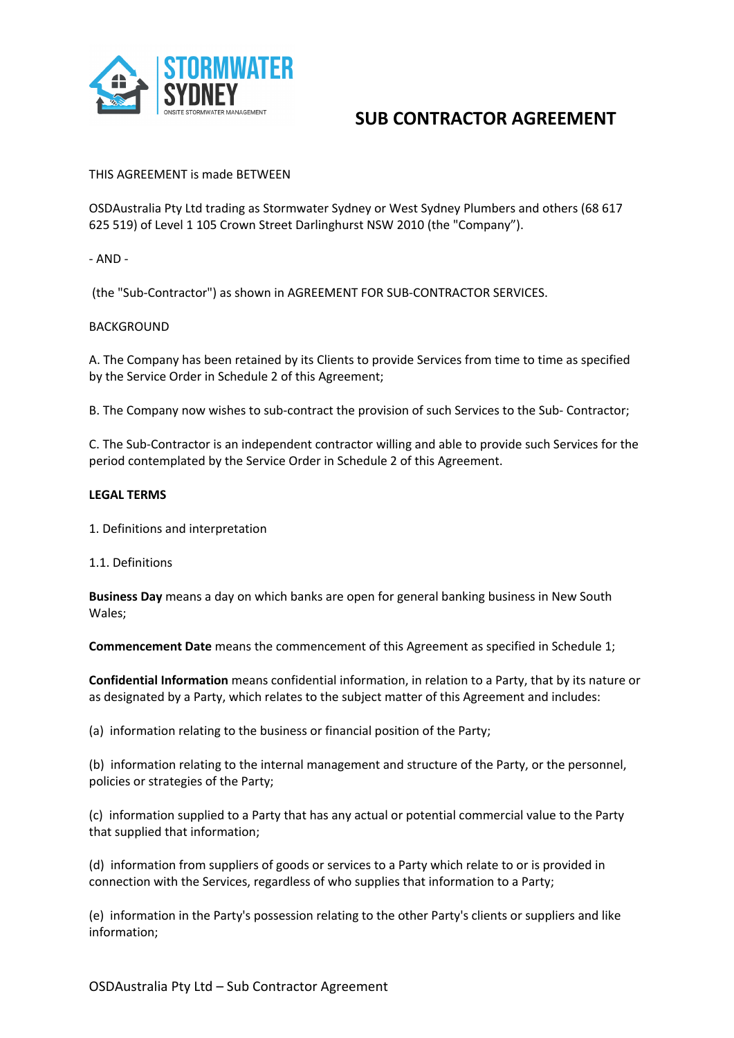

### THIS AGREEMENT is made BETWEEN

OSDAustralia Pty Ltd trading as Stormwater Sydney or West Sydney Plumbers and others (68 617 625 519) of Level 1 105 Crown Street Darlinghurst NSW 2010 (the "Company").

### - AND -

(the "Sub-Contractor") as shown in AGREEMENT FOR SUB-CONTRACTOR SERVICES.

### BACKGROUND

A. The Company has been retained by its Clients to provide Services from time to time as specified by the Service Order in Schedule 2 of this Agreement;

B. The Company now wishes to sub-contract the provision of such Services to the Sub- Contractor;

C. The Sub-Contractor is an independent contractor willing and able to provide such Services for the period contemplated by the Service Order in Schedule 2 of this Agreement.

#### **LEGAL TERMS**

1. Definitions and interpretation

1.1. Definitions

**Business Day** means a day on which banks are open for general banking business in New South Wales;

**Commencement Date** means the commencement of this Agreement as specified in Schedule 1;

**Confidential Information** means confidential information, in relation to a Party, that by its nature or as designated by a Party, which relates to the subject matter of this Agreement and includes:

(a) information relating to the business or financial position of the Party;

(b) information relating to the internal management and structure of the Party, or the personnel, policies or strategies of the Party;

(c) information supplied to a Party that has any actual or potential commercial value to the Party that supplied that information;

(d) information from suppliers of goods or services to a Party which relate to or is provided in connection with the Services, regardless of who supplies that information to a Party;

(e) information in the Party's possession relating to the other Party's clients or suppliers and like information;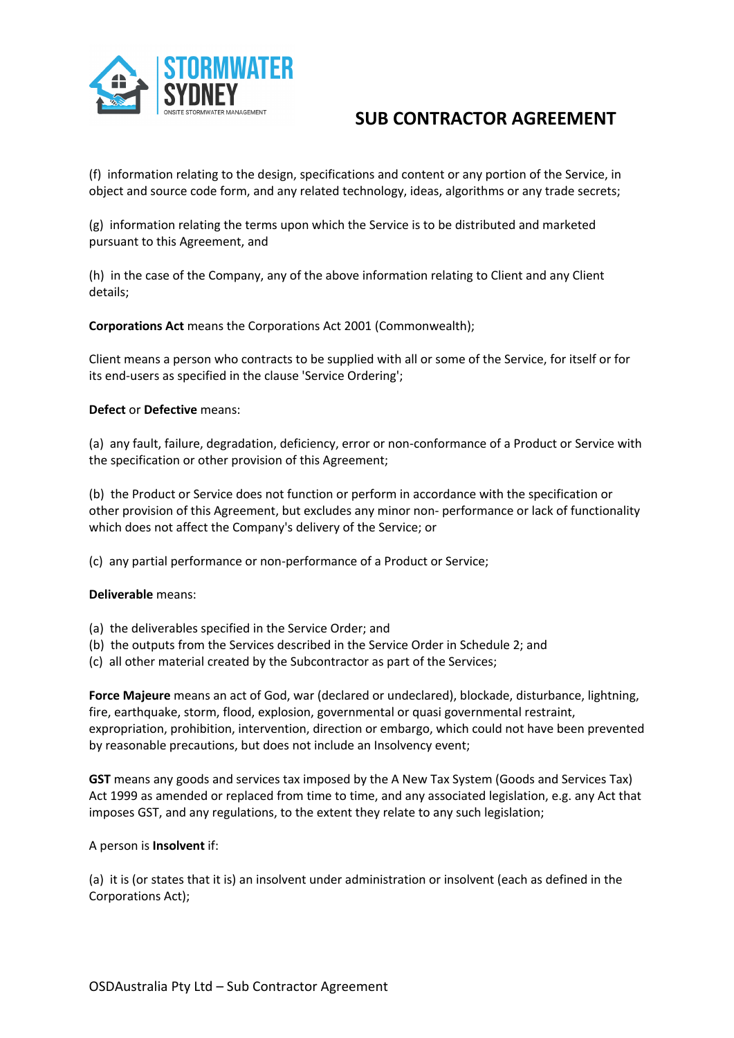

(f) information relating to the design, specifications and content or any portion of the Service, in object and source code form, and any related technology, ideas, algorithms or any trade secrets;

(g) information relating the terms upon which the Service is to be distributed and marketed pursuant to this Agreement, and

(h) in the case of the Company, any of the above information relating to Client and any Client details;

**Corporations Act** means the Corporations Act 2001 (Commonwealth);

Client means a person who contracts to be supplied with all or some of the Service, for itself or for its end-users as specified in the clause 'Service Ordering';

### **Defect** or **Defective** means:

(a) any fault, failure, degradation, deficiency, error or non-conformance of a Product or Service with the specification or other provision of this Agreement;

(b) the Product or Service does not function or perform in accordance with the specification or other provision of this Agreement, but excludes any minor non- performance or lack of functionality which does not affect the Company's delivery of the Service; or

(c) any partial performance or non-performance of a Product or Service;

### **Deliverable** means:

- (a) the deliverables specified in the Service Order; and
- (b) the outputs from the Services described in the Service Order in Schedule 2; and
- (c) all other material created by the Subcontractor as part of the Services;

**Force Majeure** means an act of God, war (declared or undeclared), blockade, disturbance, lightning, fire, earthquake, storm, flood, explosion, governmental or quasi governmental restraint, expropriation, prohibition, intervention, direction or embargo, which could not have been prevented by reasonable precautions, but does not include an Insolvency event;

**GST** means any goods and services tax imposed by the A New Tax System (Goods and Services Tax) Act 1999 as amended or replaced from time to time, and any associated legislation, e.g. any Act that imposes GST, and any regulations, to the extent they relate to any such legislation;

### A person is **Insolvent** if:

(a) it is (or states that it is) an insolvent under administration or insolvent (each as defined in the Corporations Act);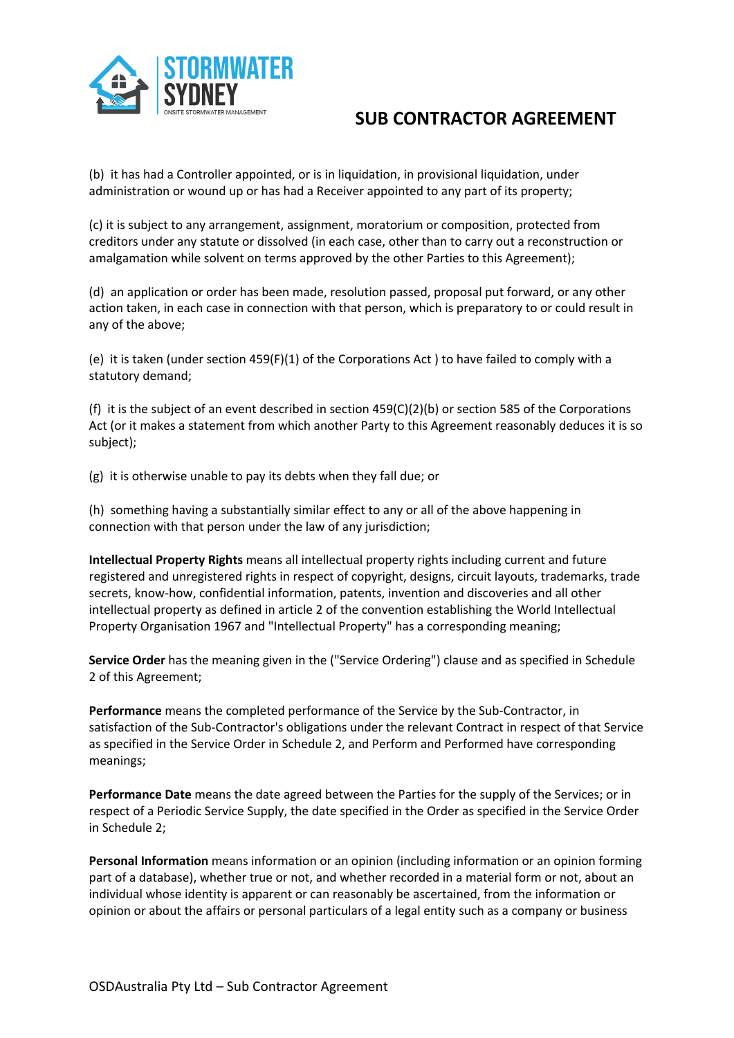

(b) it has had a Controller appointed, or is in liquidation, in provisional liquidation, under administration or wound up or has had a Receiver appointed to any part of its property;

(c) it is subject to any arrangement, assignment, moratorium or composition, protected from creditors under any statute or dissolved (in each case, other than to carry out a reconstruction or amalgamation while solvent on terms approved by the other Parties to this Agreement);

(d) an application or order has been made, resolution passed, proposal put forward, or any other action taken, in each case in connection with that person, which is preparatory to or could result in any of the above;

(e) it is taken (under section 459(F)(1) of the Corporations Act ) to have failed to comply with a statutory demand;

(f) it is the subject of an event described in section  $459(C)(2)(b)$  or section 585 of the Corporations Act (or it makes a statement from which another Party to this Agreement reasonably deduces it is so subject);

(g) it is otherwise unable to pay its debts when they fall due; or

(h) something having a substantially similar effect to any or all of the above happening in connection with that person under the law of any jurisdiction;

**Intellectual Property Rights** means all intellectual property rights including current and future registered and unregistered rights in respect of copyright, designs, circuit layouts, trademarks, trade secrets, know-how, confidential information, patents, invention and discoveries and all other intellectual property as defined in article 2 of the convention establishing the World Intellectual Property Organisation 1967 and "Intellectual Property" has a corresponding meaning;

**Service Order** has the meaning given in the ("Service Ordering") clause and as specified in Schedule 2 of this Agreement;

**Performance** means the completed performance of the Service by the Sub-Contractor, in satisfaction of the Sub-Contractor's obligations under the relevant Contract in respect of that Service as specified in the Service Order in Schedule 2, and Perform and Performed have corresponding meanings;

**Performance Date** means the date agreed between the Parties for the supply of the Services; or in respect of a Periodic Service Supply, the date specified in the Order as specified in the Service Order in Schedule 2;

**Personal Information** means information or an opinion (including information or an opinion forming part of a database), whether true or not, and whether recorded in a material form or not, about an individual whose identity is apparent or can reasonably be ascertained, from the information or opinion or about the affairs or personal particulars of a legal entity such as a company or business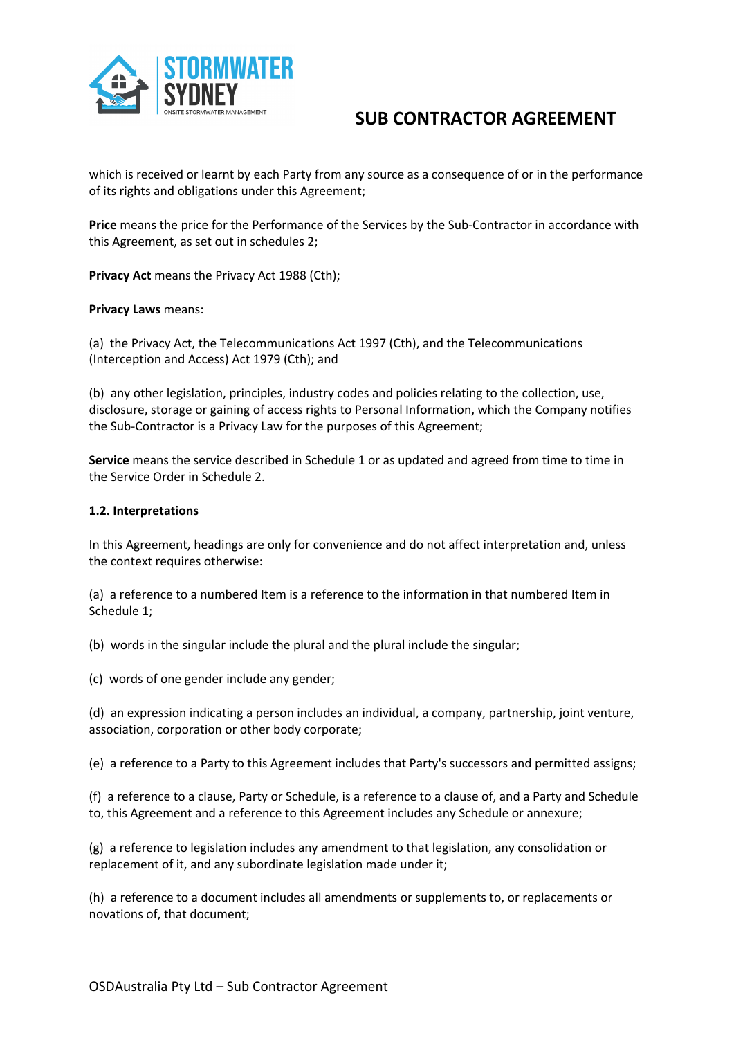

which is received or learnt by each Party from any source as a consequence of or in the performance of its rights and obligations under this Agreement;

**Price** means the price for the Performance of the Services by the Sub-Contractor in accordance with this Agreement, as set out in schedules 2;

**Privacy Act** means the Privacy Act 1988 (Cth);

### **Privacy Laws** means:

(a) the Privacy Act, the Telecommunications Act 1997 (Cth), and the Telecommunications (Interception and Access) Act 1979 (Cth); and

(b) any other legislation, principles, industry codes and policies relating to the collection, use, disclosure, storage or gaining of access rights to Personal Information, which the Company notifies the Sub-Contractor is a Privacy Law for the purposes of this Agreement;

**Service** means the service described in Schedule 1 or as updated and agreed from time to time in the Service Order in Schedule 2.

#### **1.2. Interpretations**

In this Agreement, headings are only for convenience and do not affect interpretation and, unless the context requires otherwise:

(a) a reference to a numbered Item is a reference to the information in that numbered Item in Schedule 1;

(b) words in the singular include the plural and the plural include the singular;

(c) words of one gender include any gender;

(d) an expression indicating a person includes an individual, a company, partnership, joint venture, association, corporation or other body corporate;

(e) a reference to a Party to this Agreement includes that Party's successors and permitted assigns;

(f) a reference to a clause, Party or Schedule, is a reference to a clause of, and a Party and Schedule to, this Agreement and a reference to this Agreement includes any Schedule or annexure;

(g) a reference to legislation includes any amendment to that legislation, any consolidation or replacement of it, and any subordinate legislation made under it;

(h) a reference to a document includes all amendments or supplements to, or replacements or novations of, that document;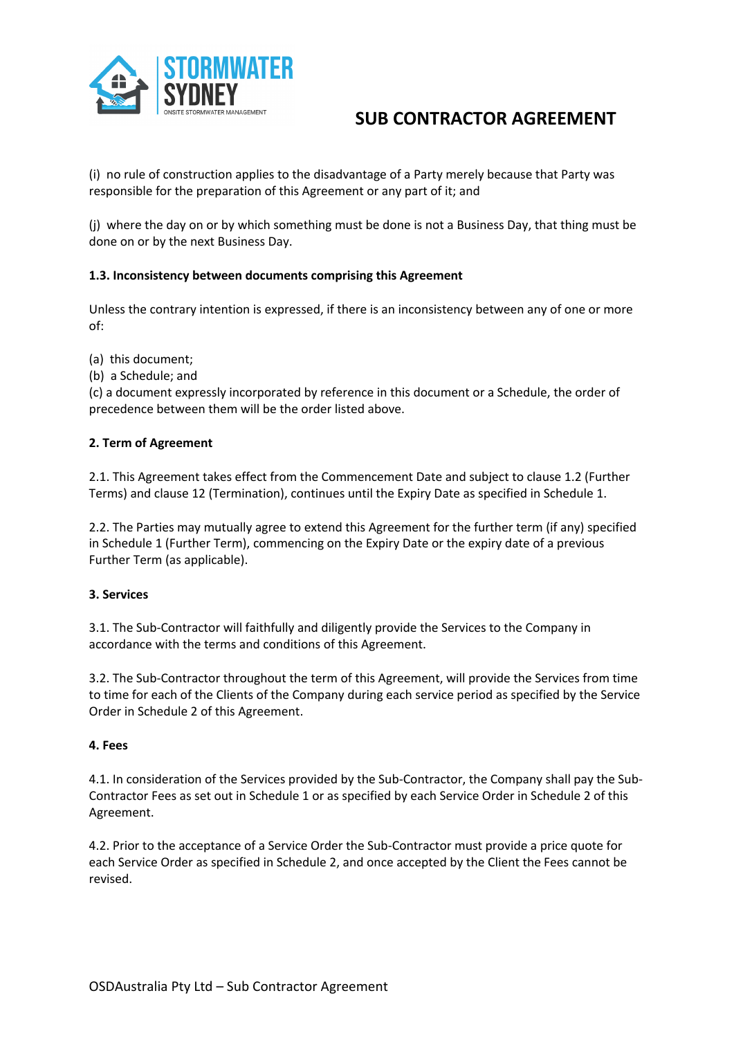

(i) no rule of construction applies to the disadvantage of a Party merely because that Party was responsible for the preparation of this Agreement or any part of it; and

(j) where the day on or by which something must be done is not a Business Day, that thing must be done on or by the next Business Day.

## **1.3. Inconsistency between documents comprising this Agreement**

Unless the contrary intention is expressed, if there is an inconsistency between any of one or more of:

(a) this document;

(b) a Schedule; and

(c) a document expressly incorporated by reference in this document or a Schedule, the order of precedence between them will be the order listed above.

## **2. Term of Agreement**

2.1. This Agreement takes effect from the Commencement Date and subject to clause 1.2 (Further Terms) and clause 12 (Termination), continues until the Expiry Date as specified in Schedule 1.

2.2. The Parties may mutually agree to extend this Agreement for the further term (if any) specified in Schedule 1 (Further Term), commencing on the Expiry Date or the expiry date of a previous Further Term (as applicable).

## **3. Services**

3.1. The Sub-Contractor will faithfully and diligently provide the Services to the Company in accordance with the terms and conditions of this Agreement.

3.2. The Sub-Contractor throughout the term of this Agreement, will provide the Services from time to time for each of the Clients of the Company during each service period as specified by the Service Order in Schedule 2 of this Agreement.

## **4. Fees**

4.1. In consideration of the Services provided by the Sub-Contractor, the Company shall pay the Sub-Contractor Fees as set out in Schedule 1 or as specified by each Service Order in Schedule 2 of this Agreement.

4.2. Prior to the acceptance of a Service Order the Sub-Contractor must provide a price quote for each Service Order as specified in Schedule 2, and once accepted by the Client the Fees cannot be revised.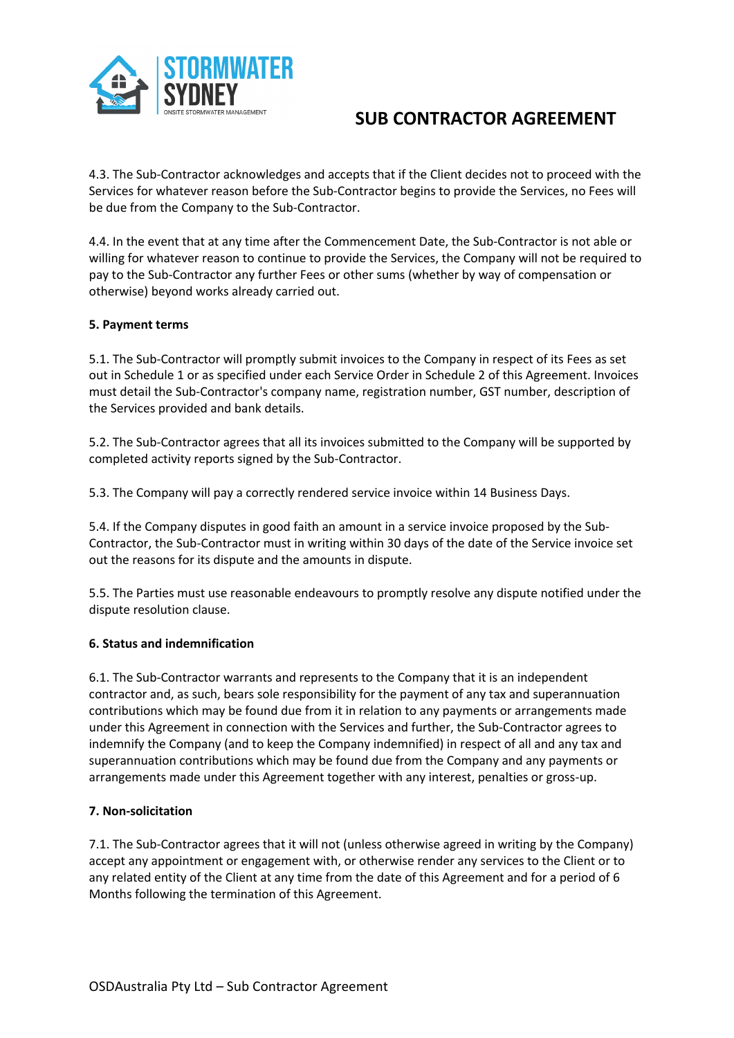

4.3. The Sub-Contractor acknowledges and accepts that if the Client decides not to proceed with the Services for whatever reason before the Sub-Contractor begins to provide the Services, no Fees will be due from the Company to the Sub-Contractor.

4.4. In the event that at any time after the Commencement Date, the Sub-Contractor is not able or willing for whatever reason to continue to provide the Services, the Company will not be required to pay to the Sub-Contractor any further Fees or other sums (whether by way of compensation or otherwise) beyond works already carried out.

## **5. Payment terms**

5.1. The Sub-Contractor will promptly submit invoices to the Company in respect of its Fees as set out in Schedule 1 or as specified under each Service Order in Schedule 2 of this Agreement. Invoices must detail the Sub-Contractor's company name, registration number, GST number, description of the Services provided and bank details.

5.2. The Sub-Contractor agrees that all its invoices submitted to the Company will be supported by completed activity reports signed by the Sub-Contractor.

5.3. The Company will pay a correctly rendered service invoice within 14 Business Days.

5.4. If the Company disputes in good faith an amount in a service invoice proposed by the Sub-Contractor, the Sub-Contractor must in writing within 30 days of the date of the Service invoice set out the reasons for its dispute and the amounts in dispute.

5.5. The Parties must use reasonable endeavours to promptly resolve any dispute notified under the dispute resolution clause.

### **6. Status and indemnification**

6.1. The Sub-Contractor warrants and represents to the Company that it is an independent contractor and, as such, bears sole responsibility for the payment of any tax and superannuation contributions which may be found due from it in relation to any payments or arrangements made under this Agreement in connection with the Services and further, the Sub-Contractor agrees to indemnify the Company (and to keep the Company indemnified) in respect of all and any tax and superannuation contributions which may be found due from the Company and any payments or arrangements made under this Agreement together with any interest, penalties or gross-up.

### **7. Non-solicitation**

7.1. The Sub-Contractor agrees that it will not (unless otherwise agreed in writing by the Company) accept any appointment or engagement with, or otherwise render any services to the Client or to any related entity of the Client at any time from the date of this Agreement and for a period of 6 Months following the termination of this Agreement.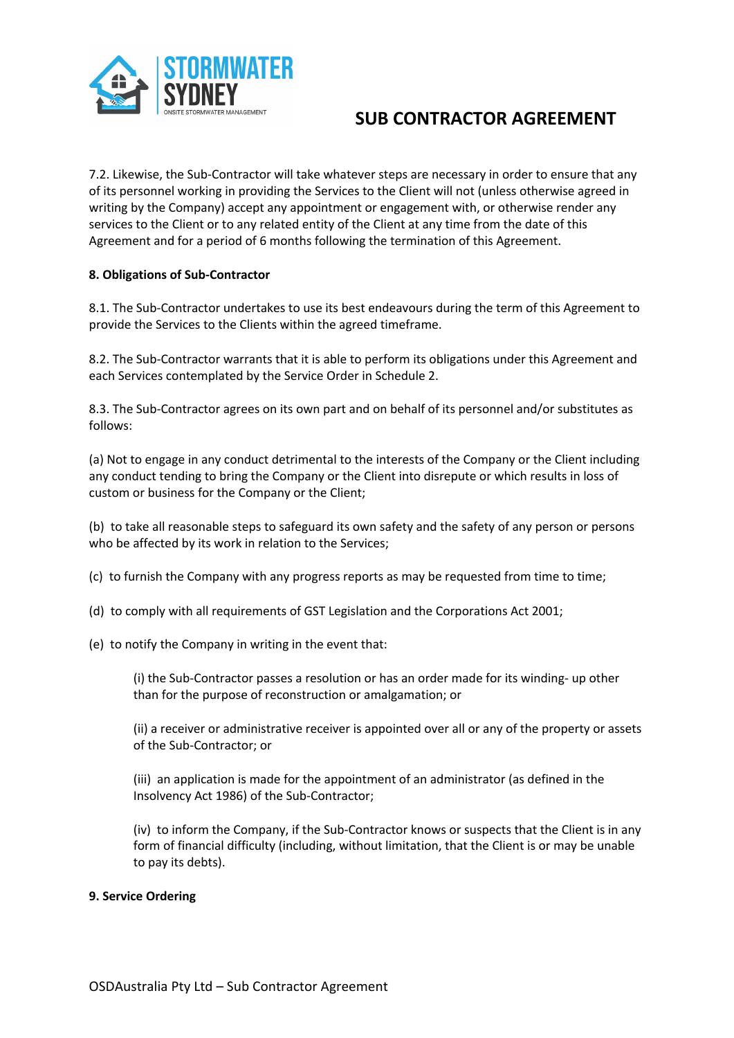

7.2. Likewise, the Sub-Contractor will take whatever steps are necessary in order to ensure that any of its personnel working in providing the Services to the Client will not (unless otherwise agreed in writing by the Company) accept any appointment or engagement with, or otherwise render any services to the Client or to any related entity of the Client at any time from the date of this Agreement and for a period of 6 months following the termination of this Agreement.

## **8. Obligations of Sub-Contractor**

8.1. The Sub-Contractor undertakes to use its best endeavours during the term of this Agreement to provide the Services to the Clients within the agreed timeframe.

8.2. The Sub-Contractor warrants that it is able to perform its obligations under this Agreement and each Services contemplated by the Service Order in Schedule 2.

8.3. The Sub-Contractor agrees on its own part and on behalf of its personnel and/or substitutes as follows:

(a) Not to engage in any conduct detrimental to the interests of the Company or the Client including any conduct tending to bring the Company or the Client into disrepute or which results in loss of custom or business for the Company or the Client;

(b) to take all reasonable steps to safeguard its own safety and the safety of any person or persons who be affected by its work in relation to the Services;

- (c) to furnish the Company with any progress reports as may be requested from time to time;
- (d) to comply with all requirements of GST Legislation and the Corporations Act 2001;
- (e) to notify the Company in writing in the event that:

(i) the Sub-Contractor passes a resolution or has an order made for its winding- up other than for the purpose of reconstruction or amalgamation; or

(ii) a receiver or administrative receiver is appointed over all or any of the property or assets of the Sub-Contractor; or

(iii) an application is made for the appointment of an administrator (as defined in the Insolvency Act 1986) of the Sub-Contractor;

(iv) to inform the Company, if the Sub-Contractor knows or suspects that the Client is in any form of financial difficulty (including, without limitation, that the Client is or may be unable to pay its debts).

### **9. Service Ordering**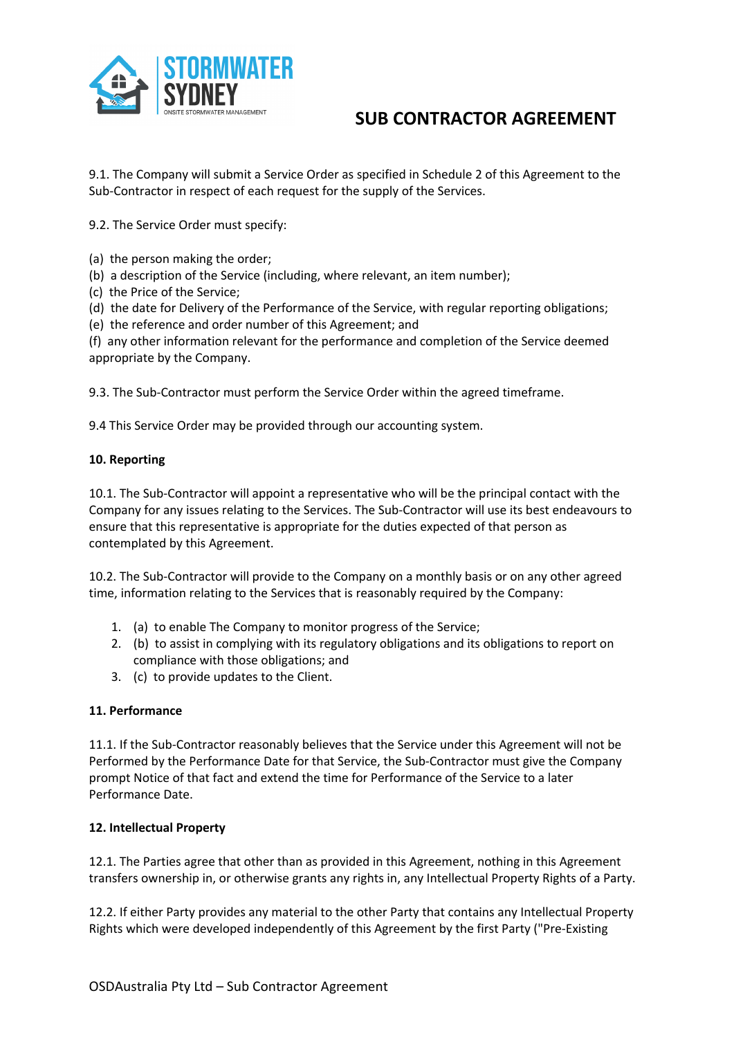

9.1. The Company will submit a Service Order as specified in Schedule 2 of this Agreement to the Sub-Contractor in respect of each request for the supply of the Services.

9.2. The Service Order must specify:

- (a) the person making the order;
- (b) a description of the Service (including, where relevant, an item number);
- (c) the Price of the Service;
- (d) the date for Delivery of the Performance of the Service, with regular reporting obligations;
- (e) the reference and order number of this Agreement; and

(f) any other information relevant for the performance and completion of the Service deemed appropriate by the Company.

9.3. The Sub-Contractor must perform the Service Order within the agreed timeframe.

9.4 This Service Order may be provided through our accounting system.

### **10. Reporting**

10.1. The Sub-Contractor will appoint a representative who will be the principal contact with the Company for any issues relating to the Services. The Sub-Contractor will use its best endeavours to ensure that this representative is appropriate for the duties expected of that person as contemplated by this Agreement.

10.2. The Sub-Contractor will provide to the Company on a monthly basis or on any other agreed time, information relating to the Services that is reasonably required by the Company:

- 1. (a) to enable The Company to monitor progress of the Service;
- 2. (b) to assist in complying with its regulatory obligations and its obligations to report on compliance with those obligations; and
- 3. (c) to provide updates to the Client.

### **11. Performance**

11.1. If the Sub-Contractor reasonably believes that the Service under this Agreement will not be Performed by the Performance Date for that Service, the Sub-Contractor must give the Company prompt Notice of that fact and extend the time for Performance of the Service to a later Performance Date.

### **12. Intellectual Property**

12.1. The Parties agree that other than as provided in this Agreement, nothing in this Agreement transfers ownership in, or otherwise grants any rights in, any Intellectual Property Rights of a Party.

12.2. If either Party provides any material to the other Party that contains any Intellectual Property Rights which were developed independently of this Agreement by the first Party ("Pre-Existing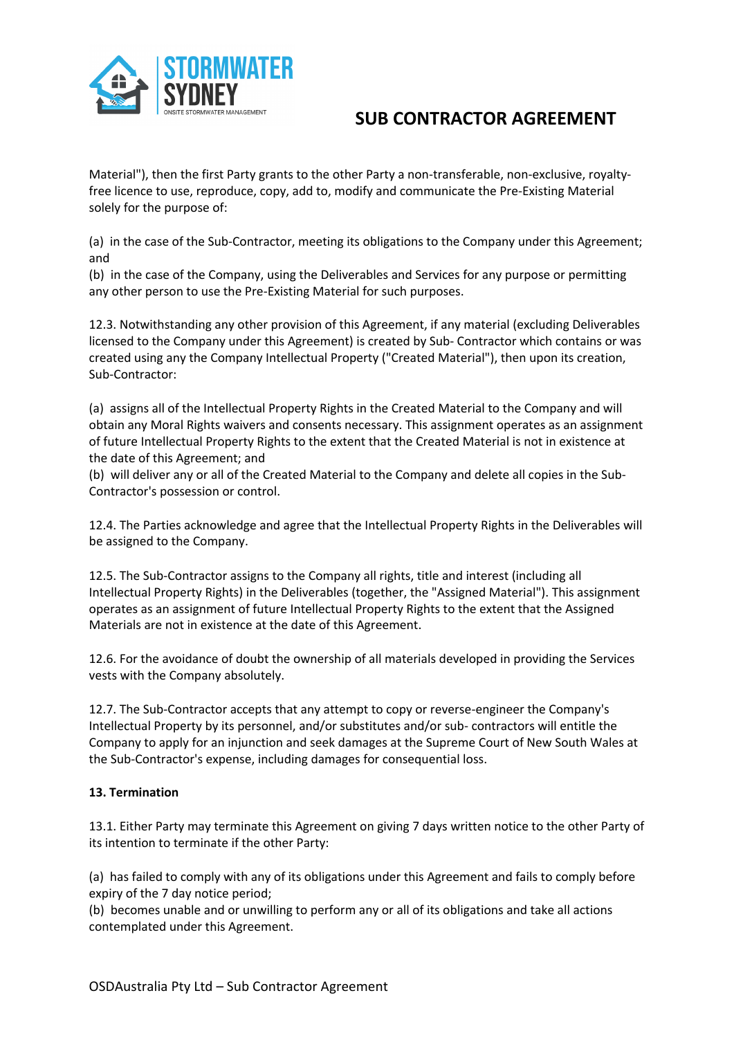

Material"), then the first Party grants to the other Party a non-transferable, non-exclusive, royaltyfree licence to use, reproduce, copy, add to, modify and communicate the Pre-Existing Material solely for the purpose of:

(a) in the case of the Sub-Contractor, meeting its obligations to the Company under this Agreement; and

(b) in the case of the Company, using the Deliverables and Services for any purpose or permitting any other person to use the Pre-Existing Material for such purposes.

12.3. Notwithstanding any other provision of this Agreement, if any material (excluding Deliverables licensed to the Company under this Agreement) is created by Sub- Contractor which contains or was created using any the Company Intellectual Property ("Created Material"), then upon its creation, Sub-Contractor:

(a) assigns all of the Intellectual Property Rights in the Created Material to the Company and will obtain any Moral Rights waivers and consents necessary. This assignment operates as an assignment of future Intellectual Property Rights to the extent that the Created Material is not in existence at the date of this Agreement; and

(b) will deliver any or all of the Created Material to the Company and delete all copies in the Sub-Contractor's possession or control.

12.4. The Parties acknowledge and agree that the Intellectual Property Rights in the Deliverables will be assigned to the Company.

12.5. The Sub-Contractor assigns to the Company all rights, title and interest (including all Intellectual Property Rights) in the Deliverables (together, the "Assigned Material"). This assignment operates as an assignment of future Intellectual Property Rights to the extent that the Assigned Materials are not in existence at the date of this Agreement.

12.6. For the avoidance of doubt the ownership of all materials developed in providing the Services vests with the Company absolutely.

12.7. The Sub-Contractor accepts that any attempt to copy or reverse-engineer the Company's Intellectual Property by its personnel, and/or substitutes and/or sub- contractors will entitle the Company to apply for an injunction and seek damages at the Supreme Court of New South Wales at the Sub-Contractor's expense, including damages for consequential loss.

## **13. Termination**

13.1. Either Party may terminate this Agreement on giving 7 days written notice to the other Party of its intention to terminate if the other Party:

(a) has failed to comply with any of its obligations under this Agreement and fails to comply before expiry of the 7 day notice period;

(b) becomes unable and or unwilling to perform any or all of its obligations and take all actions contemplated under this Agreement.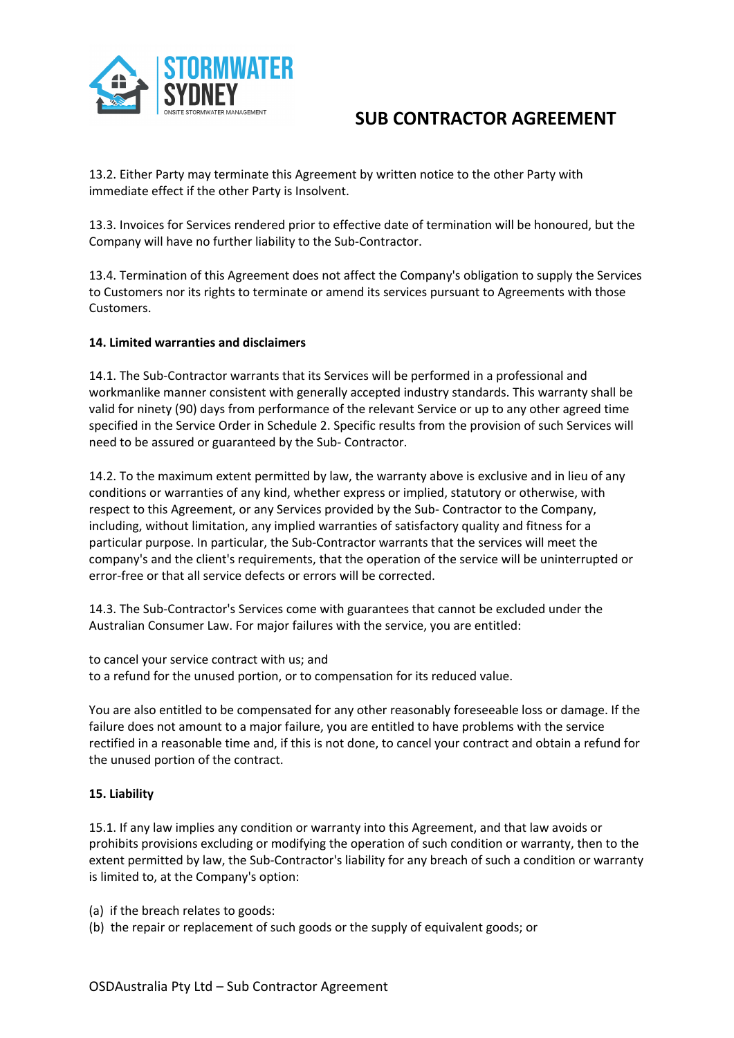

13.2. Either Party may terminate this Agreement by written notice to the other Party with immediate effect if the other Party is Insolvent.

13.3. Invoices for Services rendered prior to effective date of termination will be honoured, but the Company will have no further liability to the Sub-Contractor.

13.4. Termination of this Agreement does not affect the Company's obligation to supply the Services to Customers nor its rights to terminate or amend its services pursuant to Agreements with those Customers.

### **14. Limited warranties and disclaimers**

14.1. The Sub-Contractor warrants that its Services will be performed in a professional and workmanlike manner consistent with generally accepted industry standards. This warranty shall be valid for ninety (90) days from performance of the relevant Service or up to any other agreed time specified in the Service Order in Schedule 2. Specific results from the provision of such Services will need to be assured or guaranteed by the Sub- Contractor.

14.2. To the maximum extent permitted by law, the warranty above is exclusive and in lieu of any conditions or warranties of any kind, whether express or implied, statutory or otherwise, with respect to this Agreement, or any Services provided by the Sub- Contractor to the Company, including, without limitation, any implied warranties of satisfactory quality and fitness for a particular purpose. In particular, the Sub-Contractor warrants that the services will meet the company's and the client's requirements, that the operation of the service will be uninterrupted or error-free or that all service defects or errors will be corrected.

14.3. The Sub-Contractor's Services come with guarantees that cannot be excluded under the Australian Consumer Law. For major failures with the service, you are entitled:

to cancel your service contract with us; and to a refund for the unused portion, or to compensation for its reduced value.

You are also entitled to be compensated for any other reasonably foreseeable loss or damage. If the failure does not amount to a major failure, you are entitled to have problems with the service rectified in a reasonable time and, if this is not done, to cancel your contract and obtain a refund for the unused portion of the contract.

### **15. Liability**

15.1. If any law implies any condition or warranty into this Agreement, and that law avoids or prohibits provisions excluding or modifying the operation of such condition or warranty, then to the extent permitted by law, the Sub-Contractor's liability for any breach of such a condition or warranty is limited to, at the Company's option:

(a) if the breach relates to goods:

(b) the repair or replacement of such goods or the supply of equivalent goods; or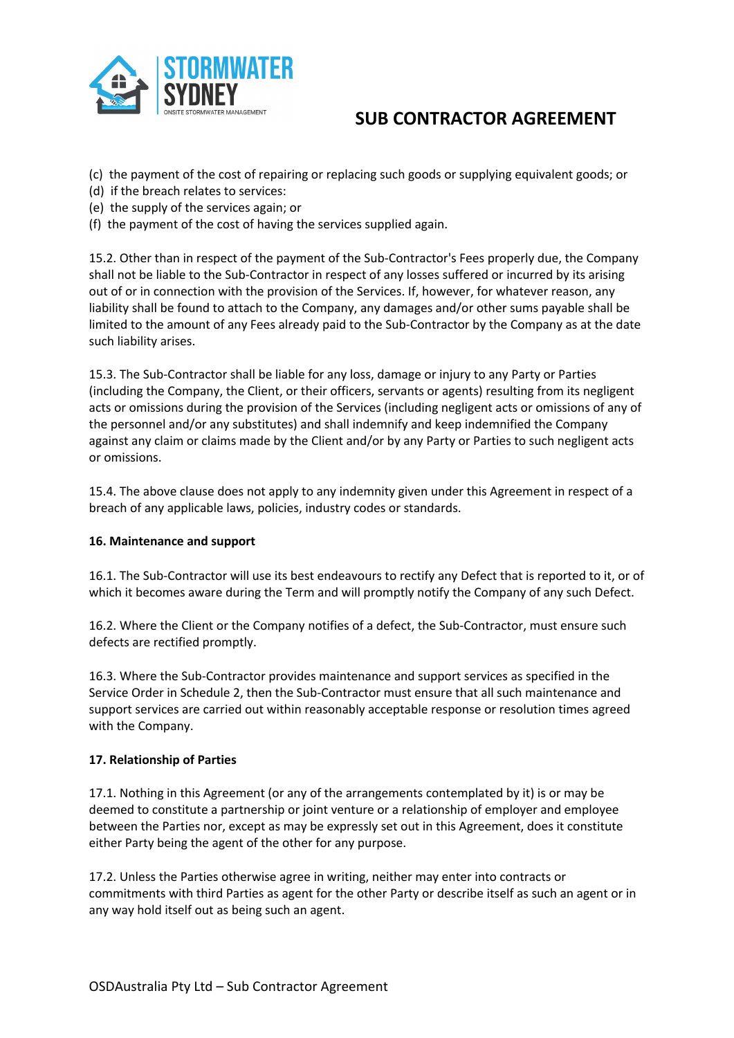

(c) the payment of the cost of repairing or replacing such goods or supplying equivalent goods; or

- (d) if the breach relates to services:
- (e) the supply of the services again; or
- (f) the payment of the cost of having the services supplied again.

15.2. Other than in respect of the payment of the Sub-Contractor's Fees properly due, the Company shall not be liable to the Sub-Contractor in respect of any losses suffered or incurred by its arising out of or in connection with the provision of the Services. If, however, for whatever reason, any liability shall be found to attach to the Company, any damages and/or other sums payable shall be limited to the amount of any Fees already paid to the Sub-Contractor by the Company as at the date such liability arises.

15.3. The Sub-Contractor shall be liable for any loss, damage or injury to any Party or Parties (including the Company, the Client, or their officers, servants or agents) resulting from its negligent acts or omissions during the provision of the Services (including negligent acts or omissions of any of the personnel and/or any substitutes) and shall indemnify and keep indemnified the Company against any claim or claims made by the Client and/or by any Party or Parties to such negligent acts or omissions.

15.4. The above clause does not apply to any indemnity given under this Agreement in respect of a breach of any applicable laws, policies, industry codes or standards.

### **16. Maintenance and support**

16.1. The Sub-Contractor will use its best endeavours to rectify any Defect that is reported to it, or of which it becomes aware during the Term and will promptly notify the Company of any such Defect.

16.2. Where the Client or the Company notifies of a defect, the Sub-Contractor, must ensure such defects are rectified promptly.

16.3. Where the Sub-Contractor provides maintenance and support services as specified in the Service Order in Schedule 2, then the Sub-Contractor must ensure that all such maintenance and support services are carried out within reasonably acceptable response or resolution times agreed with the Company.

### **17. Relationship of Parties**

17.1. Nothing in this Agreement (or any of the arrangements contemplated by it) is or may be deemed to constitute a partnership or joint venture or a relationship of employer and employee between the Parties nor, except as may be expressly set out in this Agreement, does it constitute either Party being the agent of the other for any purpose.

17.2. Unless the Parties otherwise agree in writing, neither may enter into contracts or commitments with third Parties as agent for the other Party or describe itself as such an agent or in any way hold itself out as being such an agent.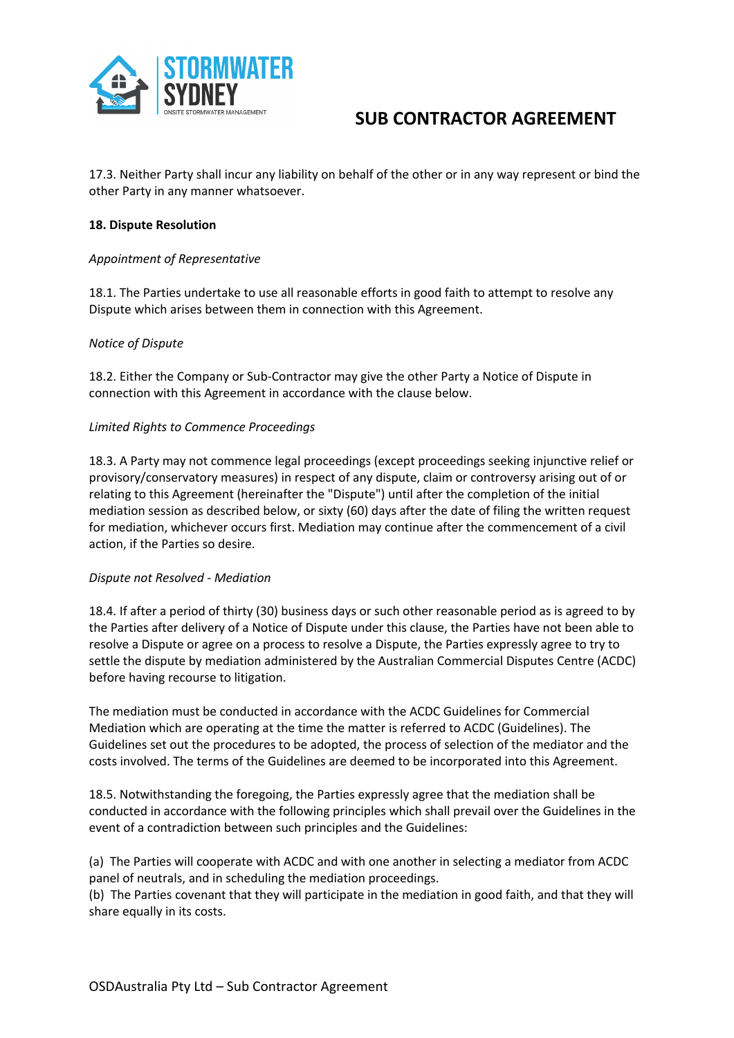

17.3. Neither Party shall incur any liability on behalf of the other or in any way represent or bind the other Party in any manner whatsoever.

### **18. Dispute Resolution**

### *Appointment of Representative*

18.1. The Parties undertake to use all reasonable efforts in good faith to attempt to resolve any Dispute which arises between them in connection with this Agreement.

### *Notice of Dispute*

18.2. Either the Company or Sub-Contractor may give the other Party a Notice of Dispute in connection with this Agreement in accordance with the clause below.

### *Limited Rights to Commence Proceedings*

18.3. A Party may not commence legal proceedings (except proceedings seeking injunctive relief or provisory/conservatory measures) in respect of any dispute, claim or controversy arising out of or relating to this Agreement (hereinafter the "Dispute") until after the completion of the initial mediation session as described below, or sixty (60) days after the date of filing the written request for mediation, whichever occurs first. Mediation may continue after the commencement of a civil action, if the Parties so desire.

### *Dispute not Resolved - Mediation*

18.4. If after a period of thirty (30) business days or such other reasonable period as is agreed to by the Parties after delivery of a Notice of Dispute under this clause, the Parties have not been able to resolve a Dispute or agree on a process to resolve a Dispute, the Parties expressly agree to try to settle the dispute by mediation administered by the Australian Commercial Disputes Centre (ACDC) before having recourse to litigation.

The mediation must be conducted in accordance with the ACDC Guidelines for Commercial Mediation which are operating at the time the matter is referred to ACDC (Guidelines). The Guidelines set out the procedures to be adopted, the process of selection of the mediator and the costs involved. The terms of the Guidelines are deemed to be incorporated into this Agreement.

18.5. Notwithstanding the foregoing, the Parties expressly agree that the mediation shall be conducted in accordance with the following principles which shall prevail over the Guidelines in the event of a contradiction between such principles and the Guidelines:

(a) The Parties will cooperate with ACDC and with one another in selecting a mediator from ACDC panel of neutrals, and in scheduling the mediation proceedings.

(b) The Parties covenant that they will participate in the mediation in good faith, and that they will share equally in its costs.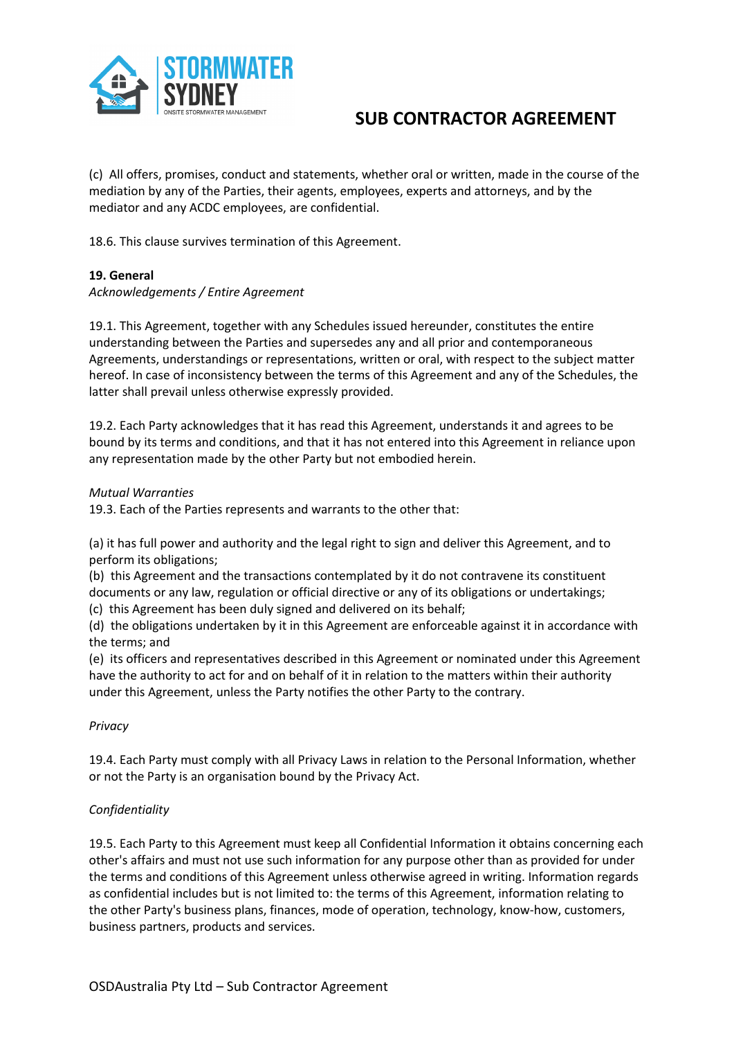

(c) All offers, promises, conduct and statements, whether oral or written, made in the course of the mediation by any of the Parties, their agents, employees, experts and attorneys, and by the mediator and any ACDC employees, are confidential.

18.6. This clause survives termination of this Agreement.

### **19. General**

### *Acknowledgements / Entire Agreement*

19.1. This Agreement, together with any Schedules issued hereunder, constitutes the entire understanding between the Parties and supersedes any and all prior and contemporaneous Agreements, understandings or representations, written or oral, with respect to the subject matter hereof. In case of inconsistency between the terms of this Agreement and any of the Schedules, the latter shall prevail unless otherwise expressly provided.

19.2. Each Party acknowledges that it has read this Agreement, understands it and agrees to be bound by its terms and conditions, and that it has not entered into this Agreement in reliance upon any representation made by the other Party but not embodied herein.

### *Mutual Warranties*

19.3. Each of the Parties represents and warrants to the other that:

(a) it has full power and authority and the legal right to sign and deliver this Agreement, and to perform its obligations;

(b) this Agreement and the transactions contemplated by it do not contravene its constituent documents or any law, regulation or official directive or any of its obligations or undertakings;

(c) this Agreement has been duly signed and delivered on its behalf;

(d) the obligations undertaken by it in this Agreement are enforceable against it in accordance with the terms; and

(e) its officers and representatives described in this Agreement or nominated under this Agreement have the authority to act for and on behalf of it in relation to the matters within their authority under this Agreement, unless the Party notifies the other Party to the contrary.

### *Privacy*

19.4. Each Party must comply with all Privacy Laws in relation to the Personal Information, whether or not the Party is an organisation bound by the Privacy Act.

## *Confidentiality*

19.5. Each Party to this Agreement must keep all Confidential Information it obtains concerning each other's affairs and must not use such information for any purpose other than as provided for under the terms and conditions of this Agreement unless otherwise agreed in writing. Information regards as confidential includes but is not limited to: the terms of this Agreement, information relating to the other Party's business plans, finances, mode of operation, technology, know-how, customers, business partners, products and services.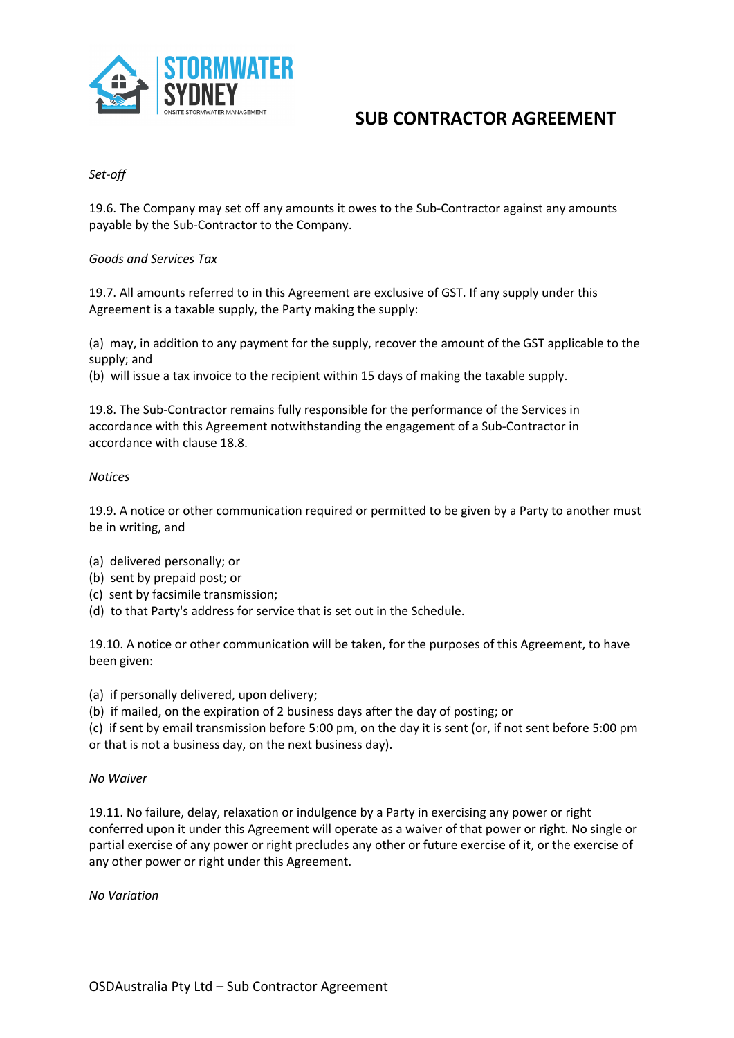

## *Set-off*

19.6. The Company may set off any amounts it owes to the Sub-Contractor against any amounts payable by the Sub-Contractor to the Company.

### *Goods and Services Tax*

19.7. All amounts referred to in this Agreement are exclusive of GST. If any supply under this Agreement is a taxable supply, the Party making the supply:

(a) may, in addition to any payment for the supply, recover the amount of the GST applicable to the supply; and

(b) will issue a tax invoice to the recipient within 15 days of making the taxable supply.

19.8. The Sub-Contractor remains fully responsible for the performance of the Services in accordance with this Agreement notwithstanding the engagement of a Sub-Contractor in accordance with clause 18.8.

### *Notices*

19.9. A notice or other communication required or permitted to be given by a Party to another must be in writing, and

- (a) delivered personally; or
- (b) sent by prepaid post; or
- (c) sent by facsimile transmission;
- (d) to that Party's address for service that is set out in the Schedule.

19.10. A notice or other communication will be taken, for the purposes of this Agreement, to have been given:

(a) if personally delivered, upon delivery;

(b) if mailed, on the expiration of 2 business days after the day of posting; or

(c) if sent by email transmission before 5:00 pm, on the day it is sent (or, if not sent before 5:00 pm or that is not a business day, on the next business day).

### *No Waiver*

19.11. No failure, delay, relaxation or indulgence by a Party in exercising any power or right conferred upon it under this Agreement will operate as a waiver of that power or right. No single or partial exercise of any power or right precludes any other or future exercise of it, or the exercise of any other power or right under this Agreement.

*No Variation*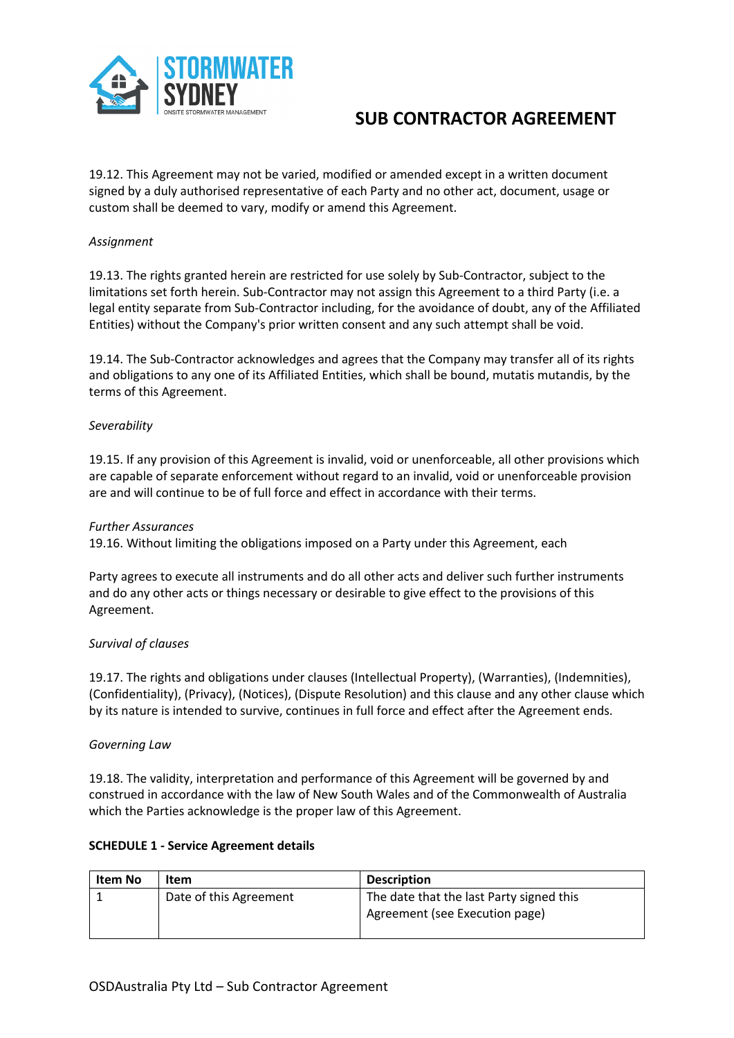

19.12. This Agreement may not be varied, modified or amended except in a written document signed by a duly authorised representative of each Party and no other act, document, usage or custom shall be deemed to vary, modify or amend this Agreement.

### *Assignment*

19.13. The rights granted herein are restricted for use solely by Sub-Contractor, subject to the limitations set forth herein. Sub-Contractor may not assign this Agreement to a third Party (i.e. a legal entity separate from Sub-Contractor including, for the avoidance of doubt, any of the Affiliated Entities) without the Company's prior written consent and any such attempt shall be void.

19.14. The Sub-Contractor acknowledges and agrees that the Company may transfer all of its rights and obligations to any one of its Affiliated Entities, which shall be bound, mutatis mutandis, by the terms of this Agreement.

### *Severability*

19.15. If any provision of this Agreement is invalid, void or unenforceable, all other provisions which are capable of separate enforcement without regard to an invalid, void or unenforceable provision are and will continue to be of full force and effect in accordance with their terms.

### *Further Assurances*

19.16. Without limiting the obligations imposed on a Party under this Agreement, each

Party agrees to execute all instruments and do all other acts and deliver such further instruments and do any other acts or things necessary or desirable to give effect to the provisions of this Agreement.

### *Survival of clauses*

19.17. The rights and obligations under clauses (Intellectual Property), (Warranties), (Indemnities), (Confidentiality), (Privacy), (Notices), (Dispute Resolution) and this clause and any other clause which by its nature is intended to survive, continues in full force and effect after the Agreement ends.

### *Governing Law*

19.18. The validity, interpretation and performance of this Agreement will be governed by and construed in accordance with the law of New South Wales and of the Commonwealth of Australia which the Parties acknowledge is the proper law of this Agreement.

### **SCHEDULE 1 - Service Agreement details**

| Item No | Item                   | <b>Description</b>                       |
|---------|------------------------|------------------------------------------|
|         | Date of this Agreement | The date that the last Party signed this |
|         |                        | Agreement (see Execution page)           |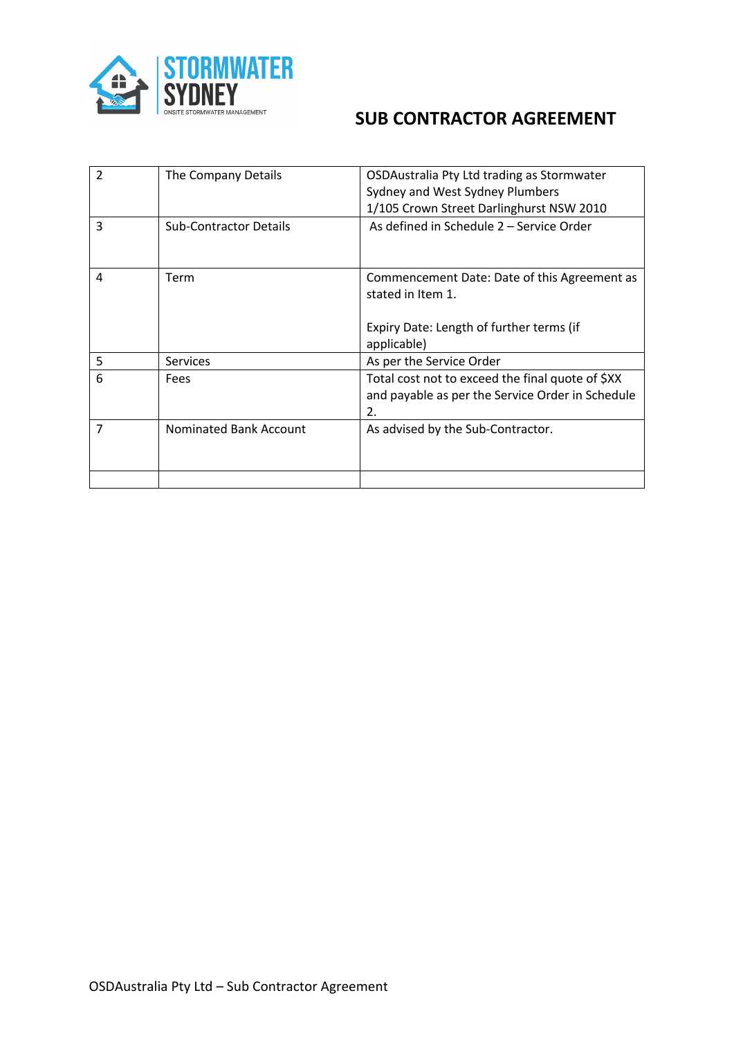

| 2              | The Company Details           | OSDAustralia Pty Ltd trading as Stormwater<br>Sydney and West Sydney Plumbers<br>1/105 Crown Street Darlinghurst NSW 2010    |
|----------------|-------------------------------|------------------------------------------------------------------------------------------------------------------------------|
| 3              | <b>Sub-Contractor Details</b> | As defined in Schedule 2 – Service Order                                                                                     |
| 4              | Term                          | Commencement Date: Date of this Agreement as<br>stated in Item 1.<br>Expiry Date: Length of further terms (if<br>applicable) |
| 5              | <b>Services</b>               | As per the Service Order                                                                                                     |
| 6              | Fees                          | Total cost not to exceed the final quote of \$XX<br>and payable as per the Service Order in Schedule<br>2.                   |
| $\overline{7}$ | <b>Nominated Bank Account</b> | As advised by the Sub-Contractor.                                                                                            |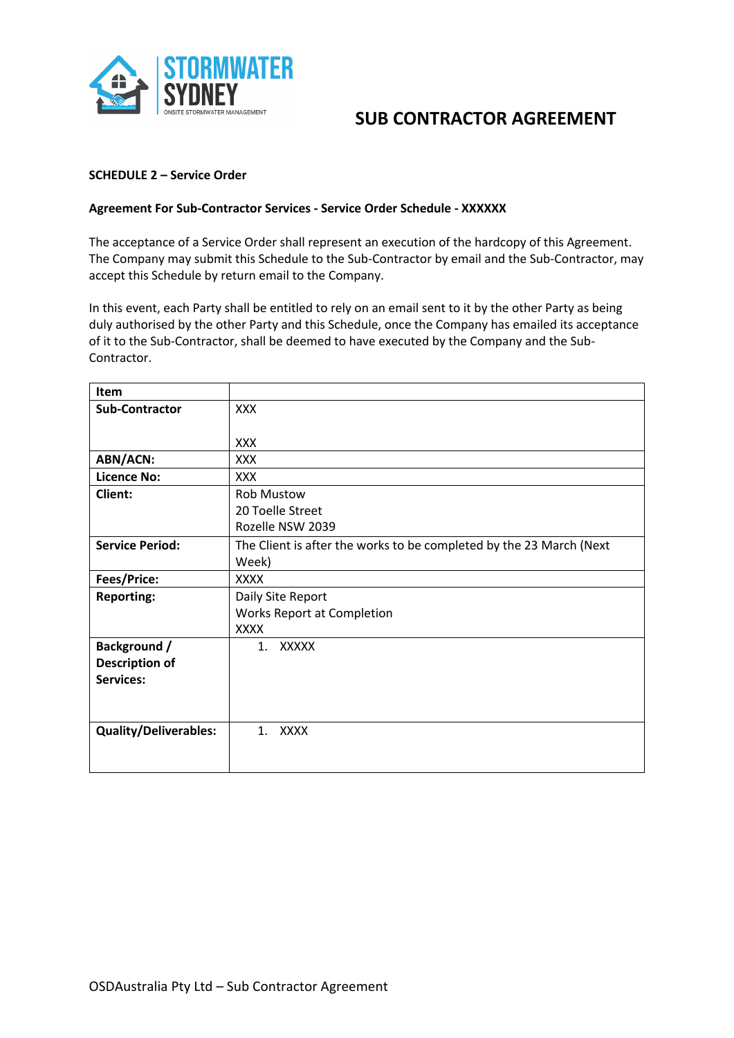

### **SCHEDULE 2 – Service Order**

### **Agreement For Sub-Contractor Services - Service Order Schedule - XXXXXX**

The acceptance of a Service Order shall represent an execution of the hardcopy of this Agreement. The Company may submit this Schedule to the Sub-Contractor by email and the Sub-Contractor, may accept this Schedule by return email to the Company.

In this event, each Party shall be entitled to rely on an email sent to it by the other Party as being duly authorised by the other Party and this Schedule, once the Company has emailed its acceptance of it to the Sub-Contractor, shall be deemed to have executed by the Company and the Sub-Contractor.

| Item                         |                                                                     |  |
|------------------------------|---------------------------------------------------------------------|--|
| <b>Sub-Contractor</b>        | <b>XXX</b>                                                          |  |
|                              |                                                                     |  |
|                              | <b>XXX</b>                                                          |  |
| <b>ABN/ACN:</b>              | <b>XXX</b>                                                          |  |
| <b>Licence No:</b>           | <b>XXX</b>                                                          |  |
| Client:                      | <b>Rob Mustow</b>                                                   |  |
|                              | 20 Toelle Street                                                    |  |
|                              | Rozelle NSW 2039                                                    |  |
| <b>Service Period:</b>       | The Client is after the works to be completed by the 23 March (Next |  |
|                              | Week)                                                               |  |
| Fees/Price:                  | <b>XXXX</b>                                                         |  |
| <b>Reporting:</b>            | Daily Site Report                                                   |  |
|                              | <b>Works Report at Completion</b>                                   |  |
|                              | <b>XXXX</b>                                                         |  |
| Background /                 | 1. XXXXX                                                            |  |
| <b>Description of</b>        |                                                                     |  |
| <b>Services:</b>             |                                                                     |  |
|                              |                                                                     |  |
|                              |                                                                     |  |
| <b>Quality/Deliverables:</b> | 1. XXXX                                                             |  |
|                              |                                                                     |  |
|                              |                                                                     |  |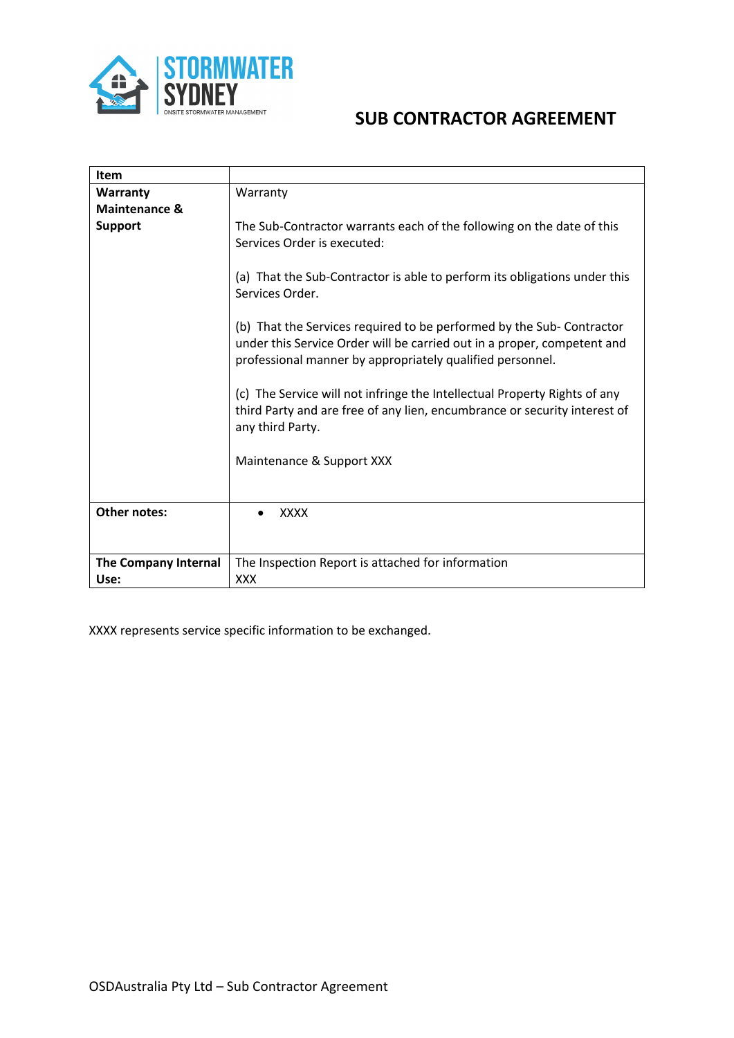

| Item                                |                                                                                                                                                                                                              |  |
|-------------------------------------|--------------------------------------------------------------------------------------------------------------------------------------------------------------------------------------------------------------|--|
| Warranty                            | Warranty                                                                                                                                                                                                     |  |
| <b>Maintenance &amp;</b>            |                                                                                                                                                                                                              |  |
| <b>Support</b>                      | The Sub-Contractor warrants each of the following on the date of this<br>Services Order is executed:                                                                                                         |  |
|                                     | (a) That the Sub-Contractor is able to perform its obligations under this<br>Services Order.                                                                                                                 |  |
|                                     | (b) That the Services required to be performed by the Sub-Contractor<br>under this Service Order will be carried out in a proper, competent and<br>professional manner by appropriately qualified personnel. |  |
|                                     | (c) The Service will not infringe the Intellectual Property Rights of any<br>third Party and are free of any lien, encumbrance or security interest of<br>any third Party.                                   |  |
|                                     | Maintenance & Support XXX                                                                                                                                                                                    |  |
| <b>Other notes:</b>                 | <b>XXXX</b>                                                                                                                                                                                                  |  |
| <b>The Company Internal</b><br>Use: | The Inspection Report is attached for information<br><b>XXX</b>                                                                                                                                              |  |

XXXX represents service specific information to be exchanged.